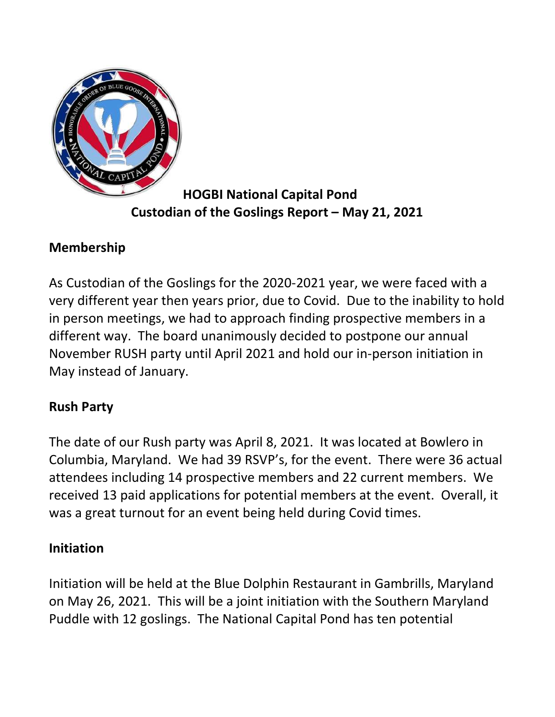

HOGBI National Capital Pond Custodian of the Goslings Report – May 21, 2021

## Membership

As Custodian of the Goslings for the 2020-2021 year, we were faced with a very different year then years prior, due to Covid. Due to the inability to hold in person meetings, we had to approach finding prospective members in a different way. The board unanimously decided to postpone our annual November RUSH party until April 2021 and hold our in-person initiation in May instead of January.

## Rush Party

The date of our Rush party was April 8, 2021. It was located at Bowlero in Columbia, Maryland. We had 39 RSVP's, for the event. There were 36 actual attendees including 14 prospective members and 22 current members. We received 13 paid applications for potential members at the event. Overall, it was a great turnout for an event being held during Covid times.

## Initiation

Initiation will be held at the Blue Dolphin Restaurant in Gambrills, Maryland on May 26, 2021. This will be a joint initiation with the Southern Maryland Puddle with 12 goslings. The National Capital Pond has ten potential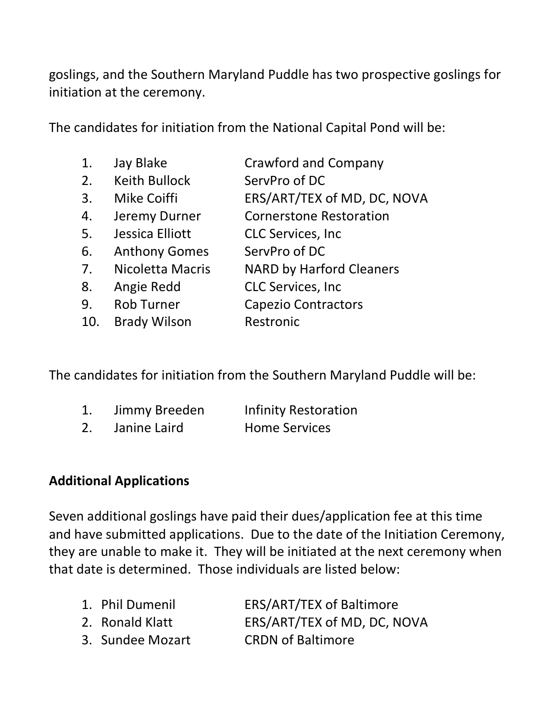goslings, and the Southern Maryland Puddle has two prospective goslings for initiation at the ceremony.

The candidates for initiation from the National Capital Pond will be:

| 1.  | Jay Blake            | <b>Crawford and Company</b>     |
|-----|----------------------|---------------------------------|
| 2.  | <b>Keith Bullock</b> | ServPro of DC                   |
| 3.  | <b>Mike Coiffi</b>   | ERS/ART/TEX of MD, DC, NOVA     |
| 4.  | Jeremy Durner        | <b>Cornerstone Restoration</b>  |
| 5.  | Jessica Elliott      | <b>CLC Services, Inc.</b>       |
| 6.  | <b>Anthony Gomes</b> | ServPro of DC                   |
| 7.  | Nicoletta Macris     | <b>NARD by Harford Cleaners</b> |
| 8.  | Angie Redd           | <b>CLC Services, Inc.</b>       |
| 9.  | <b>Rob Turner</b>    | <b>Capezio Contractors</b>      |
| 10. | <b>Brady Wilson</b>  | Restronic                       |

The candidates for initiation from the Southern Maryland Puddle will be:

|  | Jimmy Breeden | <b>Infinity Restoration</b> |
|--|---------------|-----------------------------|
|--|---------------|-----------------------------|

2. Janine Laird Home Services

## Additional Applications

Seven additional goslings have paid their dues/application fee at this time and have submitted applications. Due to the date of the Initiation Ceremony, they are unable to make it. They will be initiated at the next ceremony when that date is determined. Those individuals are listed below:

| 1. Phil Dumenil  | <b>ERS/ART/TEX of Baltimore</b> |
|------------------|---------------------------------|
| 2. Ronald Klatt  | ERS/ART/TEX of MD, DC, NOVA     |
| 3. Sundee Mozart | <b>CRDN of Baltimore</b>        |